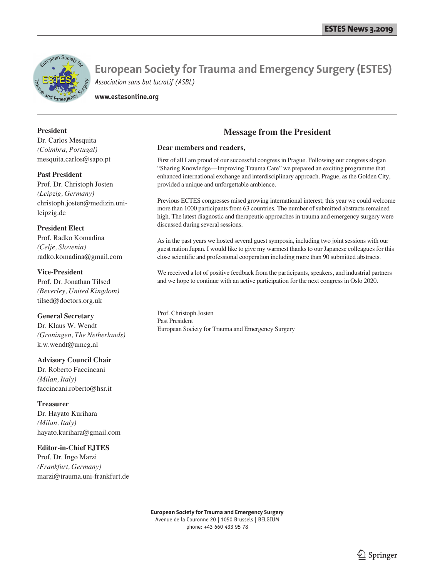

**www.estesonline.org**

#### **President**

Dr. Carlos Mesquita *(Coimbra, Portugal)* mesquita.carlos@sapo.pt

**Past President** Prof. Dr. Christoph Josten *(Leipzig, Germany)* christoph.josten@medizin.unileipzig.de

**President Elect** Prof. Radko Komadina *(Celje, Slovenia)* radko.komadina@gmail.com

**Vice-President** Prof. Dr. Jonathan Tilsed *(Beverley, United Kingdom)* tilsed@doctors.org.uk

**General Secretary** Dr. Klaus W. Wendt *(Groningen, The Netherlands)* k.w.wendt@umcg.nl

**Advisory Council Chair** Dr. Roberto Faccincani *(Milan, Italy)* faccincani.roberto@hsr.it

**Treasurer** Dr. Hayato Kurihara *(Milan, Italy)* hayato.kurihara@gmail.com

**Editor-in-Chief EJTES** Prof. Dr. Ingo Marzi *(Frankfurt, Germany)* marzi@trauma.uni-frankfurt.de

### **Message from the President**

#### **Dear members and readers,**

First of all I am proud of our successful congress in Prague. Following our congress slogan "Sharing Knowledge—Improving Trauma Care" we prepared an exciting programme that enhanced international exchange and interdisciplinary approach. Prague, as the Golden City, provided a unique and unforgettable ambience.

Previous ECTES congresses raised growing international interest; this year we could welcome more than 1000 participants from 63 countries. The number of submitted abstracts remained high. The latest diagnostic and therapeutic approaches in trauma and emergency surgery were discussed during several sessions.

As in the past years we hosted several guest symposia, including two joint sessions with our guest nation Japan. I would like to give my warmest thanks to our Japanese colleagues for this close scientific and professional cooperation including more than 90 submitted abstracts.

We received a lot of positive feedback from the participants, speakers, and industrial partners and we hope to continue with an active participation for the next congress in Oslo 2020.

Prof. Christoph Josten Past President European Society for Trauma and Emergency Surgery

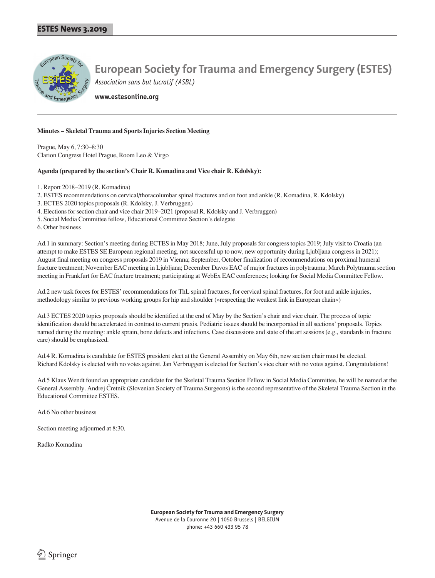

**www.estesonline.org**

#### **Minutes – Skeletal Trauma and Sports Injuries Section Meeting**

Prague, May 6, 7:30–8:30 Clarion Congress Hotel Prague, Room Leo & Virgo

#### **Agenda (prepared by the section's Chair R. Komadina and Vice chair R. Kdolsky):**

1. Report 2018–2019 (R. Komadina)

2. ESTES recommendations on cervical/thoracolumbar spinal fractures and on foot and ankle (R. Komadina, R. Kdolsky)

- 3. ECTES 2020 topics proposals (R. Kdolsky, J. Verbruggen)
- 4. Elections for section chair and vice chair 2019–2021 (proposal R. Kdolsky and J. Verbruggen)
- 5. Social Media Committee fellow, Educational Committee Section's delegate

6. Other business

Ad.1 in summary: Section's meeting during ECTES in May 2018; June, July proposals for congress topics 2019; July visit to Croatia (an attempt to make ESTES SE European regional meeting, not successful up to now, new opportunity during Ljubljana congress in 2021); August final meeting on congress proposals 2019 in Vienna; September, October finalization of recommendations on proximal humeral fracture treatment; November EAC meeting in Ljubljana; December Davos EAC of major fractures in polytrauma; March Polytrauma section meeting in Frankfurt for EAC fracture treatment; participating at WebEx EAC conferences; looking for Social Media Committee Fellow.

Ad.2 new task forces for ESTES' recommendations for ThL spinal fractures, for cervical spinal fractures, for foot and ankle injuries, methodology similar to previous working groups for hip and shoulder (»respecting the weakest link in European chain«)

Ad.3 ECTES 2020 topics proposals should be identified at the end of May by the Section's chair and vice chair. The process of topic identification should be accelerated in contrast to current praxis. Pediatric issues should be incorporated in all sections' proposals. Topics named during the meeting: ankle sprain, bone defects and infections. Case discussions and state of the art sessions (e.g., standards in fracture care) should be emphasized.

Ad.4 R. Komadina is candidate for ESTES president elect at the General Assembly on May 6th, new section chair must be elected. Richard Kdolsky is elected with no votes against. Jan Verbruggen is elected for Section's vice chair with no votes against. Congratulations!

Ad.5 Klaus Wendt found an appropriate candidate for the Skeletal Trauma Section Fellow in Social Media Committee, he will be named at the General Assembly. Andrej Čretnik (Slovenian Society of Trauma Surgeons) is the second representative of the Skeletal Trauma Section in the Educational Committee ESTES.

Ad.6 No other business

Section meeting adjourned at 8:30.

Radko Komadina

**European Society for Trauma and Emergency Surgery** Avenue de la Couronne 20 | 1050 Brussels | BELGIUM phone: +43 660 433 95 78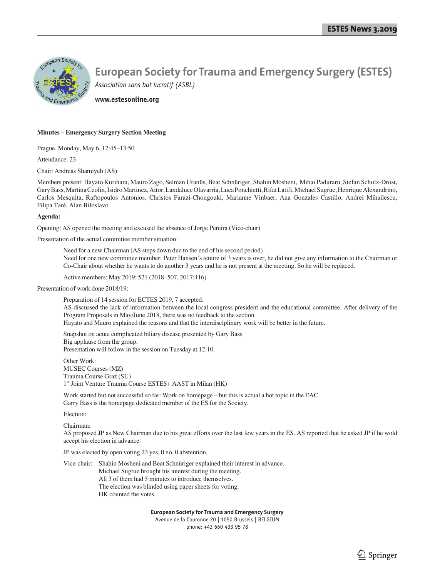

## **European Society for Trauma and Emergency Surgery (ESTES)**

*Association sans but lucratif (ASBL)*

**www.estesonline.org**

#### **Minutes – Emergency Surgery Section Meeting**

Prague, Monday, May 6, 12:45–13:50

Attendance: 23

Chair: Andreas Shamiyeh (AS)

Members present: Hayato Kurihara, Mauro Zago, Selman Uranüs, Beat Schnüriger, Shahin Mosheni, Mihai Paduraru, Stefan Schulz-Drost, Gary Bass, Martina Ceolin, Isidro Martinez, Aitor, Landaluce Olavarria, Luca Ponchietti, Rifat Latifi, Michael Sugrue, Henrique Alexandrino, Carlos Mesquita, Raftopoulos Antonios, Christos Farazi-Chongouki, Marianne Vinbaer, Ana Gonzales Castillo, Andrei Mihailescu, Filipa Taré, Alan Biloslavo

#### **Agenda:**

Opening: AS opened the meeting and excused the absence of Jorge Pereira (Vice-chair)

Presentation of the actual committee member situation:

 Need for a new Chairman (AS steps down due to the end of his second period) Need for one new committee member: Peter Hansen's tenure of 3 years is over, he did not give any information to the Chairman or Co-Chair about whether he wants to do another 3 years and he is not present at the meeting. So he will be replaced.

Active members: May 2019: 521 (2018: 507, 2017:416)

Presentation of work done 2018/19:

 Preparation of 14 session for ECTES 2019, 7 accepted. AS discussed the lack of information between the local congress president and the educational committee. After delivery of the Program Proposals in May/June 2018, there was no feedback to the section. Hayato and Mauro explained the reasons and that the interdisciplinary work will be better in the future.

 Snapshot on acute complicated biliary disease presented by Gary Bass Big applause from the group. Presentation will follow in the session on Tuesday at 12:10.

 Other Work: MUSEC Courses (MZ) Trauma Course Graz (SU) 1<sup>st</sup> Joint Venture Trauma Course ESTES+ AAST in Milan (HK)

 Work started but not successful so far: Work on homepage – but this is actual a hot topic in the EAC. Garry Bass is the homepage dedicated member of the ES for the Society.

Election:

Chairman:

 AS proposed JP as New Chairman due to his great efforts over the last few years in the ES. AS reported that he asked JP if he wold accept his election in advance.

JP was elected by open voting 23 yes, 0 no, 0 abstention.

 Vice-chair: Shahin Mosheni and Beat Schnüriger explained their interest in advance. Michael Sugrue brought his interest during the meeting. All 3 of them had 5 minutes to introduce themselves. The election was blinded using paper sheets for voting. HK counted the votes.

> **European Society for Trauma and Emergency Surgery** Avenue de la Couronne 20 | 1050 Brussels | BELGIUM phone: +43 660 433 95 78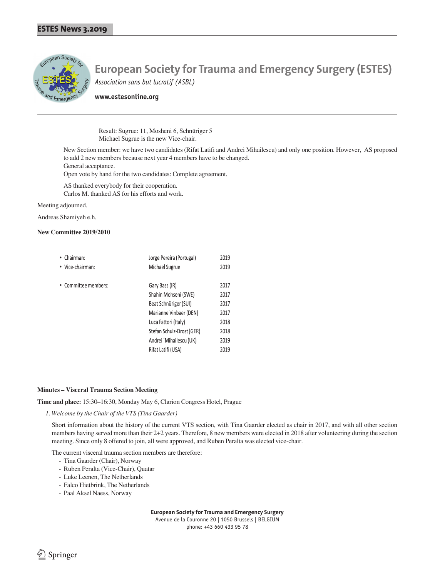

# **European Society for Trauma and Emergency Surgery (ESTES)**

*Association sans but lucratif (ASBL)*

**www.estesonline.org**

Result: Sugrue: 11, Mosheni 6, Schnüriger 5 Michael Sugrue is the new Vice-chair.

 New Section member: we have two candidates (Rifat Latifi and Andrei Mihailescu) and only one position. However, AS proposed to add 2 new members because next year 4 members have to be changed. General acceptance.

Open vote by hand for the two candidates: Complete agreement.

AS thanked everybody for their cooperation.

Carlos M. thanked AS for his efforts and work.

Meeting adjourned.

Andreas Shamiyeh e.h.

#### **New Committee 2019/2010**

| • Chairman:          | Jorge Pereira (Portugal)  | 2019 |
|----------------------|---------------------------|------|
| • Vice-chairman:     | Michael Sugrue            | 2019 |
| • Committee members: | Gary Bass (IR)            | 2017 |
|                      | Shahin Mohseni (SWE)      | 2017 |
|                      | Beat Schnüriger (SUI)     | 2017 |
|                      | Marianne Vinbaer (DEN)    | 2017 |
|                      | Luca Fattori (Italy)      | 2018 |
|                      | Stefan Schulz-Drost (GER) | 2018 |
|                      | Andrei 'Mihailescu (UK)   | 2019 |
|                      | Rifat Latifi (USA)        | 2019 |

#### **Minutes – Visceral Trauma Section Meeting**

**Time and place:** 15:30–16:30, Monday May 6, Clarion Congress Hotel, Prague

*1. Welcome by the Chair of the VTS (Tina Gaarder)*

Short information about the history of the current VTS section, with Tina Gaarder elected as chair in 2017, and with all other section members having served more than their 2+2 years. Therefore, 8 new members were elected in 2018 after volunteering during the section meeting. Since only 8 offered to join, all were approved, and Ruben Peralta was elected vice-chair.

The current visceral trauma section members are therefore:

- Tina Gaarder (Chair), Norway
- Ruben Peralta (Vice-Chair), Quatar
- Luke Leenen, The Netherlands
- Falco Hietbrink, The Netherlands
- Paal Aksel Naess, Norway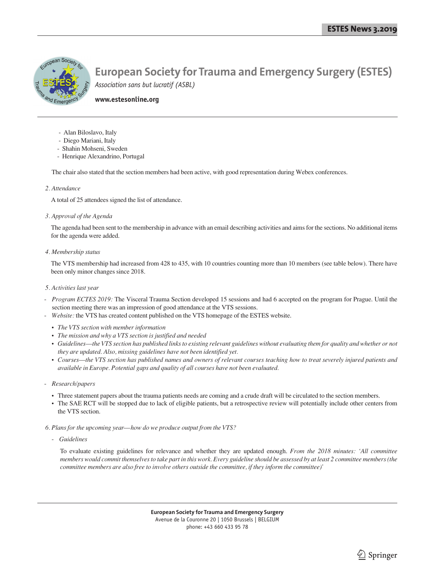

#### **www.estesonline.org**

- Alan Biloslavo, Italy
- Diego Mariani, Italy
- Shahin Mohseni, Sweden
- Henrique Alexandrino, Portugal

The chair also stated that the section members had been active, with good representation during Webex conferences.

#### *2. Attendance*

A total of 25 attendees signed the list of attendance.

#### *3. Approval of the Agenda*

 The agenda had been sent to the membership in advance with an email describing activities and aims for the sections. No additional items for the agenda were added.

#### *4. Membership status*

 The VTS membership had increased from 428 to 435, with 10 countries counting more than 10 members (see table below). There have been only minor changes since 2018.

#### *5. Activities last year*

- *Program ECTES 2019:* The Visceral Trauma Section developed 15 sessions and had 6 accepted on the program for Prague. Until the section meeting there was an impression of good attendance at the VTS sessions.
- Website: the VTS has created content published on the VTS homepage of the ESTES website.
	- *The VTS section with member information*
	- *The mission and why a VTS section is justified and needed*
	- *Guidelines—the VTS section has published links to existing relevant guidelines without evaluating them for quality and whether or not they are updated. Also, missing guidelines have not been identified yet.*
	- *Courses—the VTS section has published names and owners of relevant courses teaching how to treat severely injured patients and available in Europe. Potential gaps and quality of all courses have not been evaluated.*
- *Research/papers* 
	- Three statement papers about the trauma patients needs are coming and a crude draft will be circulated to the section members.
	- The SAE RCT will be stopped due to lack of eligible patients, but a retrospective review will potentially include other centers from the VTS section.

#### *6. Plans for the upcoming year—how do we produce output from the VTS?*

- *Guidelines*

 To evaluate existing guidelines for relevance and whether they are updated enough. *From the 2018 minutes: 'All committee members would commit themselves to take part in this work. Every guideline should be assessed by at least 2 committee members (the committee members are also free to involve others outside the committee, if they inform the committee)'*

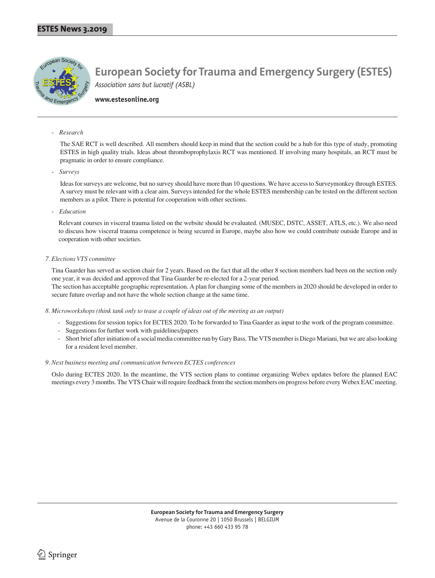

#### **www.estesonline.org**

#### - *Research*

 The SAE RCT is well described. All members should keep in mind that the section could be a hub for this type of study, promoting ESTES in high quality trials. Ideas about thromboprophylaxis RCT was mentioned. If involving many hospitals, an RCT must be pragmatic in order to ensure compliance.

- *Surveys*

 Ideas for surveys are welcome, but no survey should have more than 10 questions. We have access to Surveymonkey through ESTES. A survey must be relevant with a clear aim. Surveys intended for the whole ESTES membership can be tested on the different section members as a pilot. There is potential for cooperation with other sections.

- *Education*

 Relevant courses in visceral trauma listed on the website should be evaluated. (MUSEC, DSTC, ASSET, ATLS, etc.). We also need to discuss how visceral trauma competence is being secured in Europe, maybe also how we could contribute outside Europe and in cooperation with other societies.

#### *7. Elections VTS committee*

Tina Gaarder has served as section chair for 2 years. Based on the fact that all the other 8 section members had been on the section only one year, it was decided and approved that Tina Gaarder be re-elected for a 2-year period.

 The section has acceptable geographic representation. A plan for changing some of the members in 2020 should be developed in order to secure future overlap and not have the whole section change at the same time.

- *8. Microworkshops (think tank only to tease a couple of ideas out of the meeting as an output)*
	- Suggestions for session topics for ECTES 2020. To be forwarded to Tina Gaarder as input to the work of the program committee.
	- Suggestions for further work with guidelines/papers
	- Short brief after initiation of a social media committee run by Gary Bass. The VTS member is Diego Mariani, but we are also looking for a resident level member.

#### *9. Next business meeting and communication between ECTES conferences*

Oslo during ECTES 2020. In the meantime, the VTS section plans to continue organizing Webex updates before the planned EAC meetings every 3 months. The VTS Chair will require feedback from the section members on progress before every Webex EAC meeting.